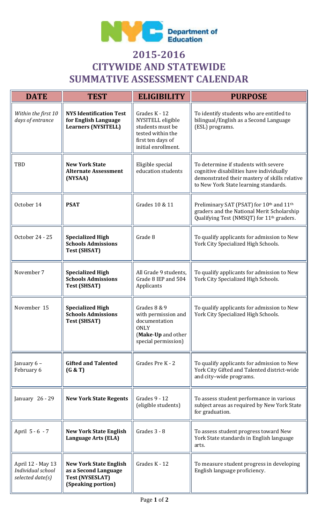

## **2015-2016 CITYWIDE AND STATEWIDE SUMMATIVE ASSESSMENT CALENDAR**

| <b>DATE</b>                                                | <b>TEST</b>                                                                                           | <b>ELIGIBILITY</b>                                                                                                      | <b>PURPOSE</b>                                                                                                                                                             |
|------------------------------------------------------------|-------------------------------------------------------------------------------------------------------|-------------------------------------------------------------------------------------------------------------------------|----------------------------------------------------------------------------------------------------------------------------------------------------------------------------|
| Within the first 10<br>days of entrance                    | <b>NYS Identification Test</b><br>for English Language<br><b>Learners (NYSITELL)</b>                  | Grades K - 12<br>NYSITELL eligible<br>students must be<br>tested within the<br>first ten days of<br>initial enrollment. | To identify students who are entitled to<br>bilingual/English as a Second Language<br>(ESL) programs.                                                                      |
| <b>TBD</b>                                                 | <b>New York State</b><br><b>Alternate Assessment</b><br>(NYSAA)                                       | Eligible special<br>education students                                                                                  | To determine if students with severe<br>cognitive disabilities have individually<br>demonstrated their mastery of skills relative<br>to New York State learning standards. |
| October 14                                                 | <b>PSAT</b>                                                                                           | Grades 10 & 11                                                                                                          | Preliminary SAT (PSAT) for 10th and 11th<br>graders and the National Merit Scholarship<br>Qualifying Test (NMSQT) for 11 <sup>th</sup> graders.                            |
| October 24 - 25                                            | <b>Specialized High</b><br><b>Schools Admissions</b><br><b>Test (SHSAT)</b>                           | Grade 8                                                                                                                 | To qualify applicants for admission to New<br>York City Specialized High Schools.                                                                                          |
| November 7                                                 | <b>Specialized High</b><br><b>Schools Admissions</b><br><b>Test (SHSAT)</b>                           | All Grade 9 students,<br>Grade 8 IEP and 504<br>Applicants                                                              | To qualify applicants for admission to New<br>York City Specialized High Schools.                                                                                          |
| November 15                                                | <b>Specialized High</b><br><b>Schools Admissions</b><br><b>Test (SHSAT)</b>                           | Grades 8 & 9<br>with permission and<br>documentation<br><b>ONLY</b><br>(Make-Up and other<br>special permission)        | To qualify applicants for admission to New<br>York City Specialized High Schools.                                                                                          |
| January 6 -<br>February 6                                  | <b>Gifted and Talented</b><br>(G & T)                                                                 | Grades Pre K - 2                                                                                                        | To qualify applicants for admission to New<br>York City Gifted and Talented district-wide<br>and city-wide programs.                                                       |
| January 26 - 29                                            | <b>New York State Regents</b>                                                                         | Grades 9 - 12<br>(eligible students)                                                                                    | To assess student performance in various<br>subject areas as required by New York State<br>for graduation.                                                                 |
| April 5 - 6 - 7                                            | <b>New York State English</b><br>Language Arts (ELA)                                                  | Grades 3 - 8                                                                                                            | To assess student progress toward New<br>York State standards in English language<br>arts.                                                                                 |
| April 12 - May 13<br>Individual school<br>selected date(s) | <b>New York State English</b><br>as a Second Language<br><b>Test (NYSESLAT)</b><br>(Speaking portion) | Grades K - 12                                                                                                           | To measure student progress in developing<br>English language proficiency.                                                                                                 |